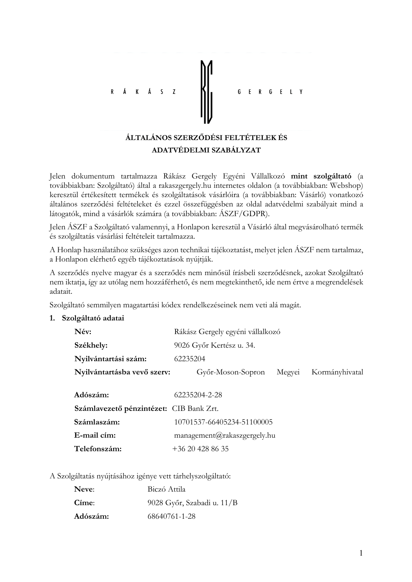

#### ADATVÉDELMI SZABÁLYZAT

Jelen dokumentum tartalmazza Rákász Gergely Egyéni Vállalkozó mint szolgáltató (a továbbiakban: Szolgáltató) által a rakaszgergely.hu internetes oldalon (a továbbiakban: Webshop) keresztül értékesített termékek és szolgáltatások vásárlóira (a továbbiakban: Vásárló) vonatkozó általános szerződési feltételeket és ezzel összefüggésben az oldal adatvédelmi szabályait mind a látogatók, mind a vásárlók számára (a továbbiakban: ÁSZF/GDPR).

Jelen ÁSZF a Szolgáltató valamennyi, a Honlapon keresztül a Vásárló által megvásárolható termék és szolgáltatás vásárlási feltételeit tartalmazza.

A Honlap használatához szükséges azon technikai tájékoztatást, melyet jelen ÁSZF nem tartalmaz, a Honlapon elérhető egyéb tájékoztatások nyújtják.

A szerződés nyelve magyar és a szerződés nem minősül írásbeli szerződésnek, azokat Szolgáltató nem iktatja, így az utólag nem hozzáférhető, és nem megtekinthető, ide nem értve a megrendelések adatait.

Szolgáltató semmilyen magatartási kódex rendelkezéseinek nem veti alá magát.

#### 1. Szolgáltató adatai

| Név:                        | Rákász Gergely egyéni vállalkozó |        |                |  |  |  |
|-----------------------------|----------------------------------|--------|----------------|--|--|--|
| Székhely:                   | 9026 Győr Kertész u. 34.         |        |                |  |  |  |
| Nyilvántartási szám:        | 62235204                         |        |                |  |  |  |
| Nyilvántartásba vevő szerv: | Győr-Moson-Sopron                | Megyei | Kormányhivatal |  |  |  |

| Adószám:                                | 62235204-2-28               |
|-----------------------------------------|-----------------------------|
| Számlavezető pénzintézet: CIB Bank Zrt. |                             |
| Számlaszám:                             | 10701537-66405234-51100005  |
| E-mail cím:                             | management@rakaszgergely.hu |
| Telefonszám:                            | $+36204288635$              |

A Szolgáltatás nyújtásához igénye vett tárhelyszolgáltató:

| Neve:    | Biczó Attila               |
|----------|----------------------------|
| Címe:    | 9028 Győr, Szabadi u. 11/B |
| Adószám: | 68640761-1-28              |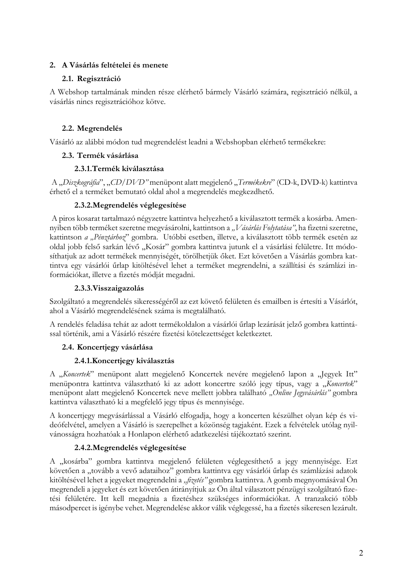# 2. A Vásárlás feltételei és menete

# 2.1. Regisztráció

A Webshop tartalmának minden része elérhető bármely Vásárló számára, regisztráció nélkül, a vásárlás nincs regisztrációhoz kötve.

# 2.2. Megrendelés

Vásárló az alábbi módon tud megrendelést leadni a Webshopban elérhető termékekre:

# 2.3. Termék vásárlása

# 2.3.1. Termék kiválasztása

A "Diszkográfia", "CD/DVD" menüpont alatt megjelenő "Termékekre" (CD-k, DVD-k) kattintva érhető el a terméket bemutató oldal ahol a megrendelés megkezdhető.

# 2.3.2. Megrendelés véglegesítése

A piros kosarat tartalmazó négyzetre kattintva helyezhető a kiválasztott termék a kosárba. Amennyiben több terméket szeretne megvásárolni, kattintson a "Vásárlás Folytatása", ha fizetni szeretne, kattintson a "Pénztárhoz" gombra. Utóbbi esetben, illetve, a kiválasztott több termék esetén az oldal jobb felső sarkán lévő "Kosár" gombra kattintva jutunk el a vásárlási felületre. Itt módosíthatjuk az adott termékek mennyiségét, törölhetjük őket. Ezt követően a Vásárlás gombra kattintva egy vásárlói űrlap kitöltésével lehet a terméket megrendelni, a szállítási és számlázi információkat, illetve a fizetés módját megadni.

# 2.3.3. Visszaigazolás

Szolgáltató a megrendelés sikerességéről az ezt követő felületen és emailben is értesíti a Vásárlót, ahol a Vásárló megrendelésének száma is megtalálható.

A rendelés feladása tehát az adott termékoldalon a vásárlói űrlap lezárását jelző gombra kattintással történik, ami a Vásárló részére fizetési kötelezettséget keletkeztet.

# 2.4. Koncertiegy vásárlása

# 2.4.1. Koncertjegy kiválasztás

A "Koncertek" menüpont alatt megjelenő Koncertek nevére megjelenő lapon a "Jegyek Itt" menüpontra kattintva választható ki az adott koncertre szóló jegy típus, vagy a "Koncertek" menüpont alatt megjelenő Koncertek neve mellett jobbra található "Online Jegyvásárlás" gombra kattintva választható ki a megfelelő jegy típus és mennyisége.

A koncertjegy megvásárlással a Vásárló elfogadja, hogy a koncerten készülhet olyan kép és videófelvétel, amelyen a Vásárló is szerepelhet a közönség tagjaként. Ezek a felvételek utólag nyilvánosságra hozhatóak a Honlapon elérhető adatkezelési tájékoztató szerint.

# 2.4.2. Megrendelés véglegesítése

A "kosárba" gombra kattintva megjelenő felületen véglegesíthető a jegy mennyisége. Ezt követően a "tovább a vevő adataihoz" gombra kattintva egy vásárlói űrlap és számlázási adatok kitöltésével lehet a jegyeket megrendelni a "fizetés" gombra kattintva. A gomb megnyomásával Ön megrendeli a jegyeket és ezt követően átirányítjuk az Ön által választott pénzügyi szolgáltató fizetési felületére. Itt kell megadnia a fizetéshez szükséges információkat. A tranzakció több másodpercet is igénybe vehet. Megrendelése akkor válik véglegessé, ha a fizetés sikeresen lezárult.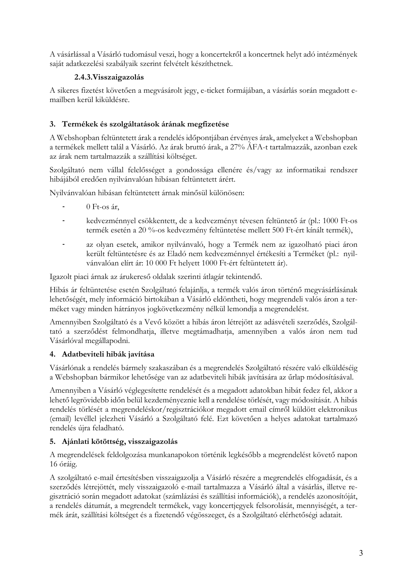A vásárlással a Vásárló tudomásul veszi, hogy a koncertekről a koncertnek helyt adó intézmények saját adatkezelési szabályaik szerint felvételt készíthetnek.

# 2.4.3. Visszaigazolás

A sikeres fizetést követően a megvásárolt jegy, e-ticket formájában, a vásárlás során megadott emailben kerül kiküldésre.

# 3. Termékek és szolgáltatások árának megfizetése

A Webshopban feltüntetett árak a rendelés időpontjában érvényes árak, amelyeket a Webshopban a termékek mellett talál a Vásárló. Az árak bruttó árak, a 27% ÁFA-t tartalmazzák, azonban ezek az árak nem tartalmazzák a szállítási költséget.

Szolgáltató nem vállal felelősséget a gondossága ellenére és/vagy az informatikai rendszer hibájából eredően nyilvánvalóan hibásan feltüntetett árért.

Nyilvánvalóan hibásan feltüntetett árnak minősül különösen:

- $\Box$ 0 Ft-os ár,
- kedvezménnyel csökkentett, de a kedvezményt tévesen feltüntető ár (pl.: 1000 Ft-os termék esetén a 20 %-os kedvezmény feltüntetése mellett 500 Ft-ért kínált termék),
- az olyan esetek, amikor nyilvánvaló, hogy a Termék nem az igazolható piaci áron  $\overline{a}$ került feltüntetésre és az Eladó nem kedvezménnyel értékesíti a Terméket (pl.: nyilvánvalóan elírt ár: 10 000 Ft helyett 1000 Ft-ért feltüntetett ár).

Igazolt piaci árnak az árukereső oldalak szerinti átlagár tekintendő.

Hibás ár feltüntetése esetén Szolgáltató felajánlja, a termék valós áron történő megvásárlásának lehetőségét, mely információ birtokában a Vásárló eldöntheti, hogy megrendeli valós áron a terméket vagy minden hátrányos jogkövetkezmény nélkül lemondja a megrendelést.

Amennyiben Szolgáltató és a Vevő között a hibás áron létrejött az adásvételi szerződés. Szolgáltató a szerződést felmondhatja, illetve megtámadhatja, amennyiben a valós áron nem tud Vásárlóval megállapodni.

# 4. Adatbeviteli hibák javítása

Vásárlónak a rendelés bármely szakaszában és a megrendelés Szolgáltató részére való elküldéséig a Webshopban bármikor lehetősége van az adatbeviteli hibák javítására az űrlap módosításával.

Amennyiben a Vásárló véglegesítette rendelését és a megadott adatokban hibát fedez fel, akkor a lehető legrövidebb időn belül kezdeményeznie kell a rendelése törlését, vagy módosítását. A hibás rendelés törlését a megrendeléskor/regisztrációkor megadott email címről küldött elektronikus (email) levéllel jelezheti Vásárló a Szolgáltató felé. Ezt követően a helyes adatokat tartalmazó rendelés újra feladható.

# 5. Ajánlati kötöttség, visszaigazolás

A megrendelések feldolgozása munkanapokon történik legkésőbb a megrendelést követő napon 16 óráig.

A szolgáltató e-mail értesítésben visszaigazolja a Vásárló részére a megrendelés elfogadását, és a szerződés létrejöttét, mely visszaigazoló e-mail tartalmazza a Vásárló által a vásárlás, illetve regisztráció során megadott adatokat (számlázási és szállítási információk), a rendelés azonosítóját, a rendelés dátumát, a megrendelt termékek, vagy koncertjegyek felsorolását, mennyiségét, a termék árát, szállítási költséget és a fizetendő végösszeget, és a Szolgáltató elérhetőségi adatait.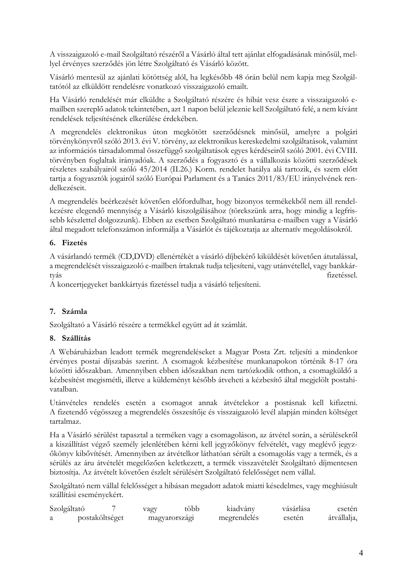A visszaigazoló e-mail Szolgáltató részéről a Vásárló által tett ajánlat elfogadásának minősül, mellyel érvényes szerződés jön létre Szolgáltató és Vásárló között.

Vásárló mentesül az ajánlati kötöttség alól, ha legkésőbb 48 órán belül nem kapja meg Szolgáltatótól az elküldött rendelésre vonatkozó visszaigazoló emailt.

Ha Vásárló rendelését már elküldte a Szolgáltató részére és hibát vesz észre a visszaigazoló emailben szereplő adatok tekintetében, azt 1 napon belül jeleznie kell Szolgáltató felé, a nem kívánt rendelések teljesítésének elkerülése érdekében.

A megrendelés elektronikus úton megkötött szerződésnek minősül, amelyre a polgári törvénykönyvről szóló 2013. évi V. törvény, az elektronikus kereskedelmi szolgáltatások, valamint az információs társadalommal összefüggő szolgáltatások egyes kérdéseiről szóló 2001. évi CVIII. törvényben foglaltak irányadóak. A szerződés a fogyasztó és a vállalkozás közötti szerződések részletes szabályairól szóló 45/2014 (II.26.) Korm. rendelet hatálya alá tartozik, és szem előtt tartja a fogyasztók jogairól szóló Európai Parlament és a Tanács 2011/83/EU irányelvének rendelkezéseit.

A megrendelés beérkezését követően előfordulhat, hogy bizonyos termékekből nem áll rendelkezésre elegendő mennyiség a Vásárló kiszolgálásához (törekszünk arra, hogy mindig a legfrissebb készlettel dolgozzunk). Ebben az esetben Szolgáltató munkatársa e-mailben vagy a Vásárló által megadott telefonszámon informálja a Vásárlót és tájékoztatja az alternatív megoldásokról.

# 6. Fizetés

A vásárlandó termék (CD,DVD) ellenértékét a vásárló díjbekérő kiküldését követően átutalással, a megrendelését visszaigazoló e-mailben írtaknak tudja teljesíteni, vagy utánvétellel, vagy bankkártvás fizetéssel.

A koncertjegyeket bankkártyás fizetéssel tudja a vásárló teljesíteni.

# 7. Számla

Szolgáltató a Vásárló részére a termékkel együtt ad át számlát.

# 8. Szállítás

A Webáruházban leadott termék megrendeléseket a Magyar Posta Zrt. teljesíti a mindenkor érvényes postai díjszabás szerint. A csomagok kézbesítése munkanapokon történik 8-17 óra közötti időszakban. Amennyiben ebben időszakban nem tartózkodik otthon, a csomagküldő a kézbesítést megismétli, illetve a küldeményt később átveheti a kézbesítő által megjelölt postahivatalban.

Utánvételes rendelés esetén a csomagot annak átvételekor a postásnak kell kifizetni. A fizetendő végösszeg a megrendelés összesítője és visszaigazoló levél alapján minden költséget tartalmaz

Ha a Vásárló sérülést tapasztal a terméken vagy a csomagoláson, az átvétel során, a sérülésekről a kiszállítást végző személy jelenlétében kérni kell jegyzőkönyv felvételét, vagy meglévő jegyzőkönyv kibővítését. Amennyiben az átvételkor láthatóan sérült a csomagolás vagy a termék, és a sérülés az áru átvételét megelőzően keletkezett, a termék visszavételét Szolgáltató díjmentesen biztosítja. Az átvételt követően észlelt sérülésért Szolgáltató felelősséget nem vállal.

Szolgáltató nem vállal felelősséget a hibásan megadott adatok miatti késedelmes, vagy meghiúsult szállítási eseményekért.

| Szolgáltató |                | vagy | több          | kiadvány    | vásárlása | eseten      |
|-------------|----------------|------|---------------|-------------|-----------|-------------|
|             | postaköltséget |      | magyarorszagi | megrendelés | eseten    | átvállalja, |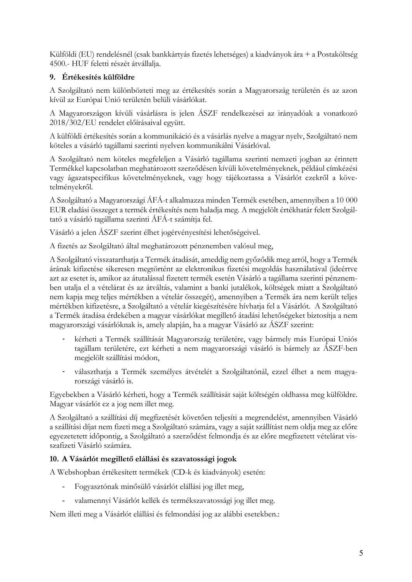Külföldi (EU) rendelésnél (csak bankkártvás fizetés lehetséges) a kiadványok ára + a Postaköltség 4500.- HUF feletti részét átvállalja.

# 9. Értékesítés külföldre

A Szolgáltató nem különbözteti meg az értékesítés során a Magyarország területén és az azon kívül az Európai Unió területén belüli vásárlókat.

A Magyarországon kívüli vásárlásra is jelen ÁSZF rendelkezései az irányadóak a vonatkozó 2018/302/EU rendelet előírásaival együtt.

A külföldi értékesítés során a kommunikáció és a vásárlás nyelve a magyar nyelv, Szolgáltató nem köteles a vásárló tagállami szerinti nyelven kommunikálni Vásárlóval.

A Szolgáltató nem köteles megfeleljen a Vásárló tagállama szerinti nemzeti jogban az érintett Termékkel kapcsolatban meghatározott szerződésen kívüli követelményeknek, például címkézési vagy ágazatspecifikus követelményeknek, vagy hogy tájékoztassa a Vásárlót ezekről a követelményekről.

A Szolgáltató a Magyarországi ÁFÁ-t alkalmazza minden Termék esetében, amennyiben a 10 000 EUR eladási összeget a termék értékesítés nem haladja meg. A megjelölt értékhatár felett Szolgáltató a vásárló tagállama szerinti ÁFÁ-t számítja fel.

Vásárló a jelen ÁSZF szerint élhet jogérvényesítési lehetőségeivel.

A fizetés az Szolgáltató által meghatározott pénznemben valósul meg,

A Szolgáltató visszatarthatja a Termék átadását, ameddig nem győződik meg arról, hogy a Termék árának kifizetése sikeresen megtörtént az elektronikus fizetési megoldás használatával (ideértve azt az esetet is, amikor az átutalással fizetett termék esetén Vásárló a tagállama szerinti pénznemben utalja el a vételárat és az átváltás, valamint a banki jutalékok, költségek miatt a Szolgáltató nem kapja meg teljes mértékben a vételár összegét), amennyiben a Termék ára nem került teljes mértékben kifizetésre, a Szolgáltató a vételár kiegészítésére hívhatja fel a Vásárlót. A Szolgáltató a Termék átadása érdekében a magyar vásárlókat megillető átadási lehetőségeket biztosítja a nem magyarországi vásárlóknak is, amely alapján, ha a magyar Vásárló az ÁSZF szerint:

- kérheti a Termék szállítását Magyarország területére, vagy bármely más Európai Uniós tagállam területére, ezt kérheti a nem magyarországi vásárló is bármely az ÁSZF-ben megjelölt szállítási módon,
- választhatja a Termék személyes átvételét a Szolgáltatónál, ezzel élhet a nem magyarországi vásárló is.

Egyebekben a Vásárló kérheti, hogy a Termék szállítását saját költségén oldhassa meg külföldre. Magyar vásárlót ez a jog nem illet meg.

A Szolgáltató a szállítási díj megfizetését követően teljesíti a megrendelést, amennyiben Vásárló a szállítási díjat nem fizeti meg a Szolgáltató számára, vagy a saját szállítást nem oldja meg az előre egyezetetett időpontig, a Szolgáltató a szerződést felmondja és az előre megfizetett vételárat visszafizeti Vásárló számára.

# 10. A Vásárlót megillető elállási és szavatossági jogok

A Webshopban értékesített termékek (CD-k és kiadványok) esetén:

- $\omega_{\rm{max}}$ Fogyasztónak minősülő vásárlót elállási jog illet meg,
- valamennyi Vásárlót kellék és termékszavatossági jog illet meg.  $\frac{1}{2}$

Nem illeti meg a Vásárlót elállási és felmondási jog az alábbi esetekben.: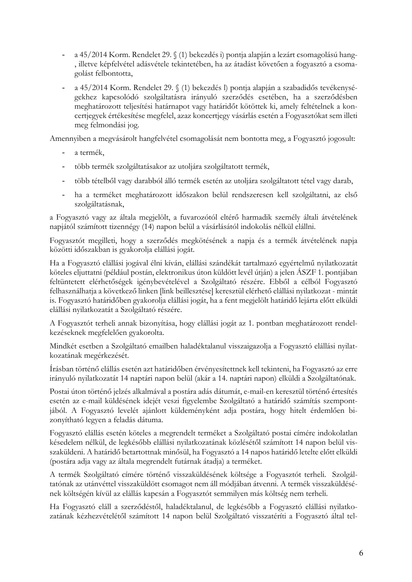- a 45/2014 Korm. Rendelet 29. § (1) bekezdés i) pontja alapján a lezárt csomagolású hang-, illetve képfelvétel adásvétele tekintetében, ha az átadást követően a fogyasztó a csomagolást felbontotta,
- a 45/2014 Korm. Rendelet 29. § (1) bekezdés l) pontja alapján a szabadidős tevékenysé- $\overline{a}$ gekhez kapcsolódó szolgáltatásra irányuló szerződés esetében, ha a szerződésben meghatározott teljesítési határnapot vagy határidőt kötöttek ki, amely feltételnek a koncertjegyek értékesítése megfelel, azaz koncertjegy vásárlás esetén a Fogyasztókat sem illeti meg felmondási jog.

Amennyiben a megvásárolt hangfelvétel csomagolását nem bontotta meg, a Fogyasztó jogosult:

- a termék.
- több termék szolgáltatásakor az utoljára szolgáltatott termék,  $\overline{a}$
- több tételből vagy darabból álló termék esetén az utoljára szolgáltatott tétel vagy darab,  $\frac{1}{2}$
- ha a terméket meghatározott időszakon belül rendszeresen kell szolgáltatni, az első szolgáltatásnak,

a Fogyasztó vagy az általa megjelölt, a fuvarozótól eltérő harmadik személy általi átvételének napjától számított tizennégy (14) napon belül a vásárlásától indokolás nélkül elállni.

Fogyasztót megilleti, hogy a szerződés megkötésének a napja és a termék átvételének napja közötti időszakban is gyakorolja elállási jogát.

Ha a Fogyasztó elállási jogával élni kíván, elállási szándékát tartalmazó egyértelmű nyilatkozatát köteles eljuttatni (például postán, elektronikus úton küldött levél útján) a jelen ÁSZF 1. pontjában feltüntetett elérhetőségek igénybevételével a Szolgáltató részére. Ebből a célból Fogyasztó felhasználhatja a következő linken [link beillesztése] keresztül elérhető elállási nyilatkozat - mintát is. Fogyasztó határidőben gyakorolja elállási jogát, ha a fent megjelölt határidő lejárta előtt elküldi elállási nyilatkozatát a Szolgáltató részére.

A Fogyasztót terheli annak bizonyítása, hogy elállási jogát az 1. pontban meghatározott rendelkezéseknek megfelelően gyakorolta.

Mindkét esetben a Szolgáltató emailben haladéktalanul visszaigazolja a Fogyasztó elállási nyilatkozatának megérkezését.

Írásban történő elállás esetén azt határidőben érvényesítettnek kell tekinteni, ha Fogyasztó az erre irányuló nyilatkozatát 14 naptári napon belül (akár a 14. naptári napon) elküldi a Szolgáltatónak.

Postai úton történő jelzés alkalmával a postára adás dátumát, e-mail-en keresztül történő értesítés esetén az e-mail küldésének idejét veszi figyelembe Szolgáltató a határidő számítás szempontjából. A Fogyasztó levelét ajánlott küldeményként adja postára, hogy hitelt érdemlően bizonyítható legyen a feladás dátuma.

Fogyasztó elállás esetén köteles a megrendelt terméket a Szolgáltató postai címére indokolatlan késedelem nélkül, de legkésőbb elállási nyilatkozatának közlésétől számított 14 napon belül visszaküldeni. A határidő betartottnak minősül, ha Fogyasztó a 14 napos határidő letelte előtt elküldi (postára adja vagy az általa megrendelt futárnak átadja) a terméket.

A termék Szolgáltató címére történő visszaküldésének költsége a Fogyasztót terheli. Szolgáltatónak az utánvéttel visszaküldött csomagot nem áll módjában átvenni. A termék visszaküldésének költségén kívül az elállás kapcsán a Fogyasztót semmilyen más költség nem terheli.

Ha Fogyasztó eláll a szerződéstől, haladéktalanul, de legkésőbb a Fogyasztó elállási nyilatkozatának kézhezvételétől számított 14 napon belül Szolgáltató visszatéríti a Fogyasztó által tel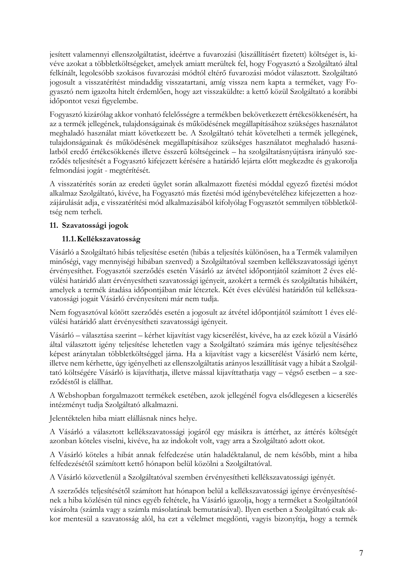jesített valamennyi ellenszolgáltatást, ideértve a fuvarozási (kiszállításért fizetett) költséget is, kivéve azokat a többletköltségeket, amelyek amiatt merültek fel, hogy Fogyasztó a Szolgáltató által felkínált, legolcsóbb szokásos fuvarozási módtól eltérő fuvarozási módot választott. Szolgáltató jogosult a visszatérítést mindaddig visszatartani, amíg vissza nem kapta a terméket, vagy Fogyasztó nem igazolta hitelt érdemlően, hogy azt visszaküldte: a kettő közül Szolgáltató a korábbi időpontot veszi figyelembe.

Fogyasztó kizárólag akkor vonható felelősségre a termékben bekövetkezett értékcsökkenésért, ha az a termék jellegének, tulajdonságainak és működésének megállapításához szükséges használatot meghaladó használat miatt következett be. A Szolgáltató tehát követelheti a termék jellegének, tulajdonságainak és működésének megállapításához szükséges használatot meghaladó használatból eredő értékcsökkenés illetve ésszerű költségeinek – ha szolgáltatásnyújtásra irányuló szerződés teljesítését a Fogyasztó kifejezett kérésére a határidő lejárta előtt megkezdte és gyakorolja felmondási jogát - megtérítését.

A visszatérítés során az eredeti ügylet során alkalmazott fizetési móddal egyező fizetési módot alkalmaz Szolgáltató, kivéve, ha Fogyasztó más fizetési mód igénybevételéhez kifejezetten a hozzájárulását adja, e visszatérítési mód alkalmazásából kifolyólag Fogyasztót semmilyen többletköltség nem terheli.

# 11. Szavatossági jogok

# 11.1. Kellékszavatosság

Vásárló a Szolgáltató hibás teljesítése esetén (hibás a teljesítés különösen, ha a Termék valamilyen minőségi, vagy mennyiségi hibában szenved) a Szolgáltatóval szemben kellékszavatossági igényt érvényesíthet. Fogyasztói szerződés esetén Vásárló az átvétel időpontjától számított 2 éves elévülési határidő alatt érvényesítheti szavatossági igényeit, azokért a termék és szolgáltatás hibákért, amelyek a termék átadása időpontjában már léteztek. Két éves elévülési határidőn túl kellékszavatossági jogait Vásárló érvényesíteni már nem tudja.

Nem fogyasztóval kötött szerződés esetén a jogosult az átvétel időpontjától számított 1 éves elévülési határidő alatt érvényesítheti szavatossági igényeit.

Vásárló – választása szerint – kérhet kijavítást vagy kicserélést, kivéve, ha az ezek közül a Vásárló által választott igény teljesítése lehetetlen vagy a Szolgáltató számára más igénye teljesítéséhez képest aránytalan többletköltséggel járna. Ha a kijavítást vagy a kicserélést Vásárló nem kérte, illetve nem kérhette, úgy igényelheti az ellenszolgáltatás arányos leszállítását vagy a hibát a Szolgáltató költségére Vásárló is kijavíthatja, illetve mással kijavíttathatja vagy – végső esetben – a szerződéstől is elállhat.

A Webshopban forgalmazott termékek esetében, azok jellegénél fogya elsődlegesen a kicserélés intézményt tudia Szolgáltató alkalmazni.

Jelentéktelen hiba miatt elállásnak nincs helye.

A Vásárló a választott kellékszavatossági jogáról egy másikra is áttérhet, az áttérés költségét azonban köteles viselni, kivéve, ha az indokolt volt, vagy arra a Szolgáltató adott okot.

A Vásárló köteles a hibát annak felfedezése után haladéktalanul, de nem később, mint a hiba felfedezésétől számított kettő hónapon belül közölni a Szolgáltatóval.

A Vásárló közvetlenül a Szolgáltatóval szemben érvényesítheti kellékszavatossági igényét.

A szerződés teljesítésétől számított hat hónapon belül a kellékszavatossági igénye érvényesítésének a hiba közlésén túl nincs egyéb feltétele, ha Vásárló igazolja, hogy a terméket a Szolgáltatótól vásárolta (számla vagy a számla másolatának bemutatásával). Ilyen esetben a Szolgáltató csak akkor mentesül a szavatosság alól, ha ezt a vélelmet megdönti, vagyis bizonyítja, hogy a termék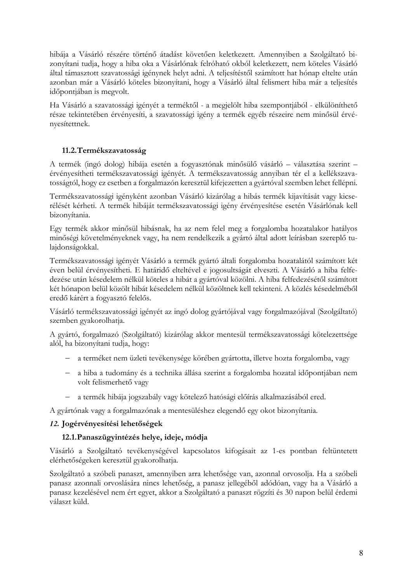hibája a Vásárló részére történő átadást követően keletkezett. Amennyiben a Szolgáltató bizonyítani tudja, hogy a hiba oka a Vásárlónak felróható okból keletkezett, nem köteles Vásárló által támasztott szavatossági igénynek helyt adni. A teljesítéstől számított hat hónap eltelte után azonban már a Vásárló köteles bizonyítani, hogy a Vásárló által felismert hiba már a teljesítés időpontjában is megvolt.

Ha Vásárló a szavatossági igényét a terméktől - a megjelölt hiba szempontjából - elkülöníthető része tekintetében érvényesíti, a szavatossági igény a termék egyéb részeire nem minősül érvényesítettnek.

# 11.2. Termékszavatosság

A termék (ingó dolog) hibája esetén a fogyasztónak minősülő vásárló – választása szerint – érvényesítheti termékszavatossági igényét. A termékszavatosság annyiban tér el a kellékszavatosságtól, hogy ez esetben a forgalmazón keresztül kifejezetten a gyártóval szemben lehet fellépni.

Termékszavatossági igényként azonban Vásárló kizárólag a hibás termék kijavítását vagy kicserélését kérheti. A termék hibáját termékszavatossági igény érvényesítése esetén Vásárlónak kell bizonyítania.

Egy termék akkor minősül hibásnak, ha az nem felel meg a forgalomba hozatalakor hatályos minőségi követelményeknek vagy, ha nem rendelkezik a gyártó által adott leírásban szereplő tulaidonságokkal.

Termékszavatossági igényét Vásárló a termék gyártó általi forgalomba hozatalától számított két éven belül érvényesítheti. E határidő elteltével e jogosultságát elveszti. A Vásárló a hiba felfedezése után késedelem nélkül köteles a hibát a gyártóval közölni. A hiba felfedezésétől számított két hónapon belül közölt hibát késedelem nélkül közöltnek kell tekinteni. A közlés késedelméből eredő kárért a fogyasztó felelős.

Vásárló termékszavatossági igényét az ingó dolog gyártójával vagy forgalmazójával (Szolgáltató) szemben gyakorolhatja.

A gyártó, forgalmazó (Szolgáltató) kizárólag akkor mentesül termékszavatossági kötelezettsége alól, ha bizonyítani tudja, hogy:

- a terméket nem üzleti tevékenysége körében gyártotta, illetve hozta forgalomba, vagy
- a hiba a tudomány és a technika állása szerint a forgalomba hozatal időpontjában nem volt felismerhető vagy
- a termék hibája jogszabály vagy kötelező hatósági előírás alkalmazásából ered.

A gyártónak vagy a forgalmazónak a mentesüléshez elegendő egy okot bizonyítania.

# 12. Jogérvényesítési lehetőségek

# 12.1. Panaszügyintézés helye, ideje, módja

Vásárló a Szolgáltató tevékenységével kapcsolatos kifogásait az 1-es pontban feltüntetett elérhetőségeken keresztül gyakorolhatja.

Szolgáltató a szóbeli panaszt, amennyiben arra lehetősége van, azonnal orvosolja. Ha a szóbeli panasz azonnali orvoslására nincs lehetőség, a panasz jellegéből adódóan, vagy ha a Vásárló a panasz kezelésével nem ért egyet, akkor a Szolgáltató a panaszt rögzíti és 30 napon belül érdemi választ küld.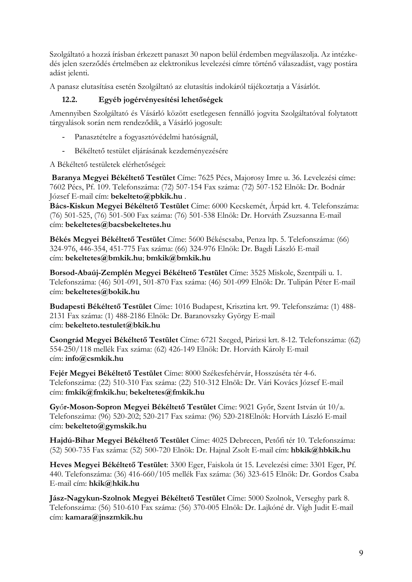Szolgáltató a hozzá írásban érkezett panaszt 30 napon belül érdemben megválaszolja. Az intézkedés jelen szerződés értelmében az elektronikus levelezési címre történő válaszadást, vagy postára adást jelenti.

A panasz elutasítása esetén Szolgáltató az elutasítás indokáról tájékoztatja a Vásárlót.

#### $12.2.$ Egyéb jogérvényesítési lehetőségek

Amennyiben Szolgáltató és Vásárló között esetlegesen fennálló jogyita Szolgáltatóval folytatott tárgyalások során nem rendeződik, a Vásárló jogosult:

- Panasztételre a fogyasztóvédelmi hatóságnál,
- $\frac{1}{2}$ Békéltető testület eljárásának kezdeményezésére

A Békéltető testületek elérhetőségei:

Baranya Megyei Békéltető Testület Címe: 7625 Pécs, Majorosy Imre u. 36. Levelezési címe: 7602 Pécs, Pf. 109. Telefonszáma: (72) 507-154 Fax száma: (72) 507-152 Elnök: Dr. Bodnár József E-mail cím: bekelteto@pbkik.hu.

Bács-Kiskun Megyei Békéltető Testület Címe: 6000 Kecskemét, Árpád krt. 4. Telefonszáma: (76) 501-525, (76) 501-500 Fax száma: (76) 501-538 Elnök: Dr. Horváth Zsuzsanna E-mail cím: bekeltetes@bacsbekeltetes.hu

Békés Megyei Békéltető Testület Címe: 5600 Békéscsaba, Penza ltp. 5. Telefonszáma: (66) 324-976, 446-354, 451-775 Fax száma: (66) 324-976 Elnök: Dr. Bagdi László E-mail cím: bekeltetes@bmkik.hu; bmkik@bmkik.hu

Borsod-Abaúj-Zemplén Megyei Békéltető Testület Címe: 3525 Miskolc, Szentpáli u. 1. Telefonszáma: (46) 501-091, 501-870 Fax száma: (46) 501-099 Elnök: Dr. Tulipán Péter E-mail cím: bekeltetes@bokik.hu

Budapesti Békéltető Testület Címe: 1016 Budapest, Krisztina krt. 99. Telefonszáma: (1) 488-2131 Fax száma: (1) 488-2186 Elnök: Dr. Baranovszky György E-mail cím: bekelteto.testulet@bkik.hu

Csongrád Megyei Békéltető Testület Címe: 6721 Szeged, Párizsi krt. 8-12. Telefonszáma: (62) 554-250/118 mellék Fax száma: (62) 426-149 Elnök: Dr. Horváth Károly E-mail cím: info@csmkik.hu

Fejér Megyei Békéltető Testület Címe: 8000 Székesfehérvár, Hosszúséta tér 4-6. Telefonszáma: (22) 510-310 Fax száma: (22) 510-312 Elnök: Dr. Vári Kovács József E-mail cím: fmkik@fmkik.hu; bekeltetes@fmkik.hu

Győr-Moson-Sopron Megyei Békéltető Testület Címe: 9021 Győr, Szent István út 10/a. Telefonszáma: (96) 520-202; 520-217 Fax száma: (96) 520-218Elnök: Horváth László E-mail cím: bekelteto@gymskik.hu

Hajdú-Bihar Megyei Békéltető Testület Címe: 4025 Debrecen, Petőfi tér 10. Telefonszáma: (52) 500-735 Fax száma: (52) 500-720 Elnök: Dr. Hajnal Zsolt E-mail cím: hbkik@hbkik.hu

Heves Megyei Békéltető Testület: 3300 Eger, Faiskola út 15. Levelezési címe: 3301 Eger, Pf. 440. Telefonszáma: (36) 416-660/105 mellék Fax száma: (36) 323-615 Elnök: Dr. Gordos Csaba E-mail cím: hkik@hkik.hu

Jász-Nagykun-Szolnok Megyei Békéltető Testület Címe: 5000 Szolnok, Verseghy park 8. Telefonszáma: (56) 510-610 Fax száma: (56) 370-005 Elnök: Dr. Lajkóné dr. Vígh Judit E-mail cím: kamara@jnszmkik.hu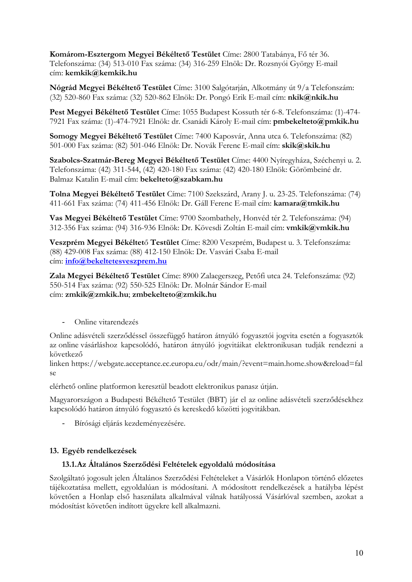Komárom-Esztergom Megyei Békéltető Testület Címe: 2800 Tatabánya, Fő tér 36. Telefonszáma: (34) 513-010 Fax száma: (34) 316-259 Elnök: Dr. Rozsnyói György E-mail cím: kemkik@kemkik.hu

Nógrád Megyei Békéltető Testület Címe: 3100 Salgótarján, Alkotmány út 9/a Telefonszám: (32) 520-860 Fax száma: (32) 520-862 Elnök: Dr. Pongó Erik E-mail cím: nkik@nkik.hu

Pest Megvei Békéltető Testület Címe: 1055 Budapest Kossuth tér 6-8. Telefonszáma: (1)-474-7921 Fax száma: (1)-474-7921 Elnök: dr. Csanádi Károly E-mail cím: pmbekelteto@pmkik.hu

Somogy Megyei Békéltető Testület Címe: 7400 Kaposvár, Anna utca 6. Telefonszáma: (82) 501-000 Fax száma: (82) 501-046 Elnök: Dr. Novák Ferenc E-mail cím: skik@skik.hu

Szabolcs-Szatmár-Bereg Megyei Békéltető Testület Címe: 4400 Nyíregyháza, Széchenyi u. 2. Telefonszáma: (42) 311-544, (42) 420-180 Fax száma: (42) 420-180 Elnök: Görömbeiné dr. Balmaz Katalin E-mail cím: bekelteto@szabkam.hu

Tolna Megyei Békéltető Testület Címe: 7100 Szekszárd, Arany J. u. 23-25. Telefonszáma: (74) 411-661 Fax száma: (74) 411-456 Elnök: Dr. Gáll Ferenc E-mail cím: kamara@tmkik.hu

Vas Megyei Békéltető Testület Címe: 9700 Szombathely, Honvéd tér 2. Telefonszáma: (94) 312-356 Fax száma: (94) 316-936 Elnök: Dr. Kövesdi Zoltán E-mail cím: vmkik@vmkik.hu

Veszprém Megyei Békéltető Testület Címe: 8200 Veszprém, Budapest u. 3. Telefonszáma: (88) 429-008 Fax száma: (88) 412-150 Elnök: Dr. Vasvári Csaba E-mail cím: info@bekeltetesveszprem.hu

Zala Megyei Békéltető Testület Címe: 8900 Zalaegerszeg, Petőfi utca 24. Telefonszáma: (92) 550-514 Fax száma: (92) 550-525 Elnök: Dr. Molnár Sándor E-mail cím: zmkik@zmkik.hu; zmbekelteto@zmkik.hu

Online vitarendezés  $\overline{a}$ 

Online adásvételi szerződéssel összefüggő határon átnyúló fogyasztói jogyita esetén a fogyasztók az online vásárláshoz kapcsolódó, határon átnyúló jogyitájkat elektronikusan tudják rendezni a következő

linken https://webgate.acceptance.ec.europa.eu/odr/main/?event=main.home.show&reload=fal  $s_{\theta}$ 

elérhető online platformon keresztül beadott elektronikus panasz útján.

Magyarországon a Budapesti Békéltető Testület (BBT) jár el az online adásvételi szerződésekhez kapcsolódó határon átnyúló fogyasztó és kereskedő közötti jogyitákban.

Bírósági eljárás kezdeményezésére.  $\omega_{\rm{max}}$ 

# 13. Egyéb rendelkezések

#### 13.1.Az Általános Szerződési Feltételek egyoldalú módosítása

Szolgáltató jogosult jelen Általános Szerződési Feltételeket a Vásárlók Honlapon történő előzetes tájékoztatása mellett, egyoldalúan is módosítani. A módosított rendelkezések a hatályba lépést követően a Honlap első használata alkalmával válnak hatályossá Vásárlóval szemben, azokat a módosítást követően indított ügyekre kell alkalmazni.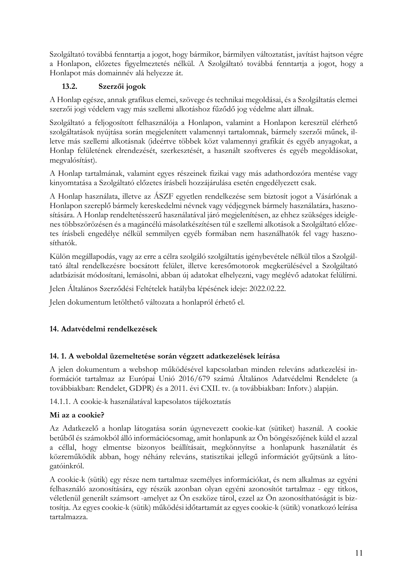Szolgáltató továbbá fenntartja a jogot, hogy bármikor, bármilyen változtatást, javítást hajtson végre a Honlapon, előzetes figyelmeztetés nélkül. A Szolgáltató továbbá fenntartja a jogot, hogy a Honlapot más domainnév alá helyezze át.

#### $13.2.$ Szerzői jogok

A Honlap egésze, annak grafikus elemei, szövege és technikai megoldásai, és a Szolgáltatás elemei szerzői jogi védelem vagy más szellemi alkotáshoz fűződő jog védelme alatt állnak.

Szolgáltató a feljogosított felhasználója a Honlapon, valamint a Honlapon keresztül elérhető szolgáltatások nyújtása során megjelenített valamennyi tartalomnak, bármely szerzői műnek, illetve más szellemi alkotásnak (ideértve többek közt valamennyi grafikát és egyéb anyagokat, a Honlap felületének elrendezését, szerkesztését, a használt szoftveres és egyéb megoldásokat, megvalósítást).

A Honlap tartalmának, valamint egyes részeinek fizikai vagy más adathordozóra mentése vagy kinyomtatása a Szolgáltató előzetes írásbeli hozzájárulása esetén engedélyezett csak.

A Honlap használata, illetve az ÁSZF egyetlen rendelkezése sem biztosít jogot a Vásárlónak a Honlapon szereplő bármely kereskedelmi névnek vagy védjegynek bármely használatára, hasznosítására. A Honlap rendeltetésszerű használatával járó megjelenítésen, az ehhez szükséges ideiglenes többszörözésen és a magáncélú másolatkészítésen túl e szellemi alkotások a Szolgáltató előzetes írásbeli engedélye nélkül semmilyen egyéb formában nem használhatók fel vagy hasznosíthatók.

Külön megállapodás, vagy az erre a célra szolgáló szolgáltatás igénybevétele nélkül tilos a Szolgáltató által rendelkezésre bocsátott felület, illetve keresőmotorok megkerülésével a Szolgáltató adatbázisát módosítani, lemásolni, abban új adatokat elhelyezni, vagy meglévő adatokat felülírni.

Jelen Általános Szerződési Feltételek hatályba lépésének ideje: 2022.02.22.

Jelen dokumentum letölthető változata a honlapról érhető el.

# 14. Adatvédelmi rendelkezések

# 14. 1. A weboldal üzemeltetése során végzett adatkezelések leírása

A jelen dokumentum a webshop működésével kapcsolatban minden releváns adatkezelési információt tartalmaz az Európai Unió 2016/679 számú Általános Adatvédelmi Rendelete (a továbbiakban: Rendelet, GDPR) és a 2011. évi CXII. tv. (a továbbiakban: Infotv.) alapján.

14.1.1. A cookie-k használatával kapcsolatos tájékoztatás

# Mi az a cookie?

Az Adatkezelő a honlap látogatása során úgynevezett cookie-kat (sütiket) használ. A cookie betűből és számokból álló információcsomag, amit honlapunk az Ön böngészőjének küld el azzal a céllal, hogy elmentse bizonyos beállításait, megkönnyítse a honlapunk használatát és közreműködik abban, hogy néhány releváns, statisztikai jellegű információt gyűjtsünk a látogatóinkról.

A cookie-k (sütik) egy része nem tartalmaz személyes információkat, és nem alkalmas az egyéni felhasználó azonosítására, egy részük azonban olyan egyéni azonosítót tartalmaz - egy titkos, véletlenül generált számsort -amelyet az Ön eszköze tárol, ezzel az Ön azonosíthatóságát is biztosítja. Az egyes cookie-k (sütik) működési időtartamát az egyes cookie-k (sütik) vonatkozó leírása tartalmazza.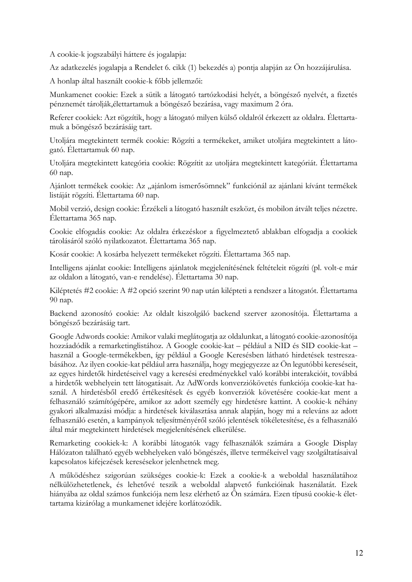A cookie-k jogszabályi háttere és jogalapja:

Az adatkezelés jogalapja a Rendelet 6. cikk (1) bekezdés a) pontja alapján az Ön hozzájárulása.

A honlap által használt cookie-k főbb jellemzői:

Munkamenet cookie: Ezek a sütik a látogató tartózkodási helyét, a böngésző nyelyét, a fizetés pénznemét tárolják, élettartamuk a böngésző bezárása, vagy maximum 2 óra.

Referer cookiek: Azt rögzítik, hogy a látogató milyen külső oldalról érkezett az oldalra. Élettartamuk a böngésző bezárásáig tart.

Utoljára megtekintett termék cookie: Rögzíti a termékeket, amiket utoljára megtekintett a látogató. Élettartamuk 60 nap.

Utoliára megtekintett kategória cookie: Rögzítit az utoliára megtekintett kategóriát. Élettartama 60 nap.

Ajánlott termékek cookie: Az "ajánlom ismerősömnek" funkciónál az ajánlani kívánt termékek listáját rögzíti. Élettartama 60 nap.

Mobil verzió, design cookie: Érzékeli a látogató használt eszközt, és mobilon átvált teljes nézetre. Élettartama 365 nap.

Cookie elfogadás cookie: Az oldalra érkezéskor a figyelmeztető ablakban elfogadja a cookiek tárolásáról szóló nyilatkozatot. Élettartama 365 nap.

Kosár cookie: A kosárba helyezett termékeket rögzíti. Élettartama 365 nap.

Intelligens ajánlat cookie: Intelligens ajánlatok megjelenítésének feltételeit rögzíti (pl. volt-e már az oldalon a látogató, van-e rendelése). Élettartama 30 nap.

Kiléptetés #2 cookie: A #2 opció szerint 90 nap után kilépteti a rendszer a látogatót. Élettartama 90 nap.

Backend azonosító cookie: Az oldalt kiszolgáló backend szerver azonosítója. Élettartama a böngésző bezárásáig tart.

Google Adwords cookie: Amikor valaki meglátogatja az oldalunkat, a látogató cookie-azonosítója hozzáadódik a remarketinglistához. A Google cookie-kat - például a NID és SID cookie-kat használ a Google-termékekben, így például a Google Keresésben látható hirdetések testreszabásához. Az ilyen cookie-kat például arra használja, hogy megjegyezze az Ön legutóbbi kereséseit, az egyes hirdetők hirdetéseivel vagy a keresési eredményekkel való korábbi interakcióit, továbbá a hirdetők webhelyein tett látogatásait. Az AdWords konverziókövetés funkciója cookie-kat használ. A hirdetésből eredő értékesítések és egyéb konverziók követésére cookie-kat ment a felhasználó számítógépére, amikor az adott személy egy hirdetésre kattint. A cookie-k néhány gyakori alkalmazási módja: a hirdetések kiválasztása annak alapján, hogy mi a releváns az adott felhasználó esetén, a kampányok teljesítményéről szóló jelentések tökéletesítése, és a felhasználó által már megtekintett hirdetések megjelenítésének elkerülése.

Remarketing cookiek-k: A korábbi látogatók vagy felhasználók számára a Google Display Hálózaton található egyéb webhelyeken való böngészés, illetve termékeivel vagy szolgáltatásaival kapcsolatos kifejezések keresésekor jelenhetnek meg.

A működéshez szigorúan szükséges cookie-k: Ezek a cookie-k a weboldal használatához nélkülözhetetlenek, és lehetővé teszik a weboldal alapvető funkcióinak használatát. Ezek hiányába az oldal számos funkciója nem lesz elérhető az Ön számára. Ezen típusú cookie-k élettartama kizárólag a munkamenet idejére korlátozódik.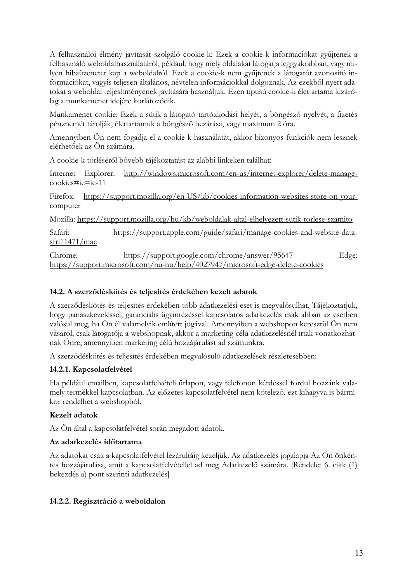A felhasználói élmény javítását szolgáló cookie-k: Ezek a cookie-k információkat gyűjtenek a felhasználó weboldalhasználatáról, például, hogy mely oldalakat látogatja leggyakrabban, vagy milyen hibaüzenetet kap a weboldalról. Ezek a cookie-k nem gyűjtenek a látogatót azonosító információkat, vagyis teljesen általános, névtelen információkkal dolgoznak. Az ezekből nyert adatokat a weboldal teljesítményének javítására használjuk. Ezen típusú cookie-k élettartama kizárólag a munkamenet idejére korlátozódik.

Munkamenet cookie: Ezek a sütik a látogató tartózkodási helyét, a böngésző nyelvét, a fizetés pénznemét tárolják, élettartamuk a böngésző bezárása, vagy maximum 2 óra.

Amennyiben Ön nem fogadja el a cookie-k használatát, akkor bizonyos funkciók nem lesznek elérhetőek az Ön számára.

A cookie-k törléséről bővebb tájékoztatást az alábbi linkeken találhat:

Internet Explorer: http://windows.microsoft.com/en-us/internet-explorer/delete-manage- $\frac{\text{cookies}\# \text{ie}}{\text{e}} = \text{ie-11}$ 

Firefox: https://support.mozilla.org/en-US/kb/cookies-information-websites-store-on-yourcomputer

Mozilla: https://support.mozilla.org/hu/kb/weboldalak-altal-elhelyezett-sutik-torlese-szamito

Safari: https://support.apple.com/guide/safari/manage-cookies-and-website-data $s$ fri $11471/mac$ 

Chrome: https://support.google.com/chrome/answer/95647 Edge: https://support.microsoft.com/hu-hu/help/4027947/microsoft-edge-delete-cookies

## 14.2. A szerződéskötés és teljesítés érdekében kezelt adatok

A szerződéskötés és teljesítés érdekében több adatkezelési eset is megvalósulhat. Tájékoztatjuk, hogy panaszkezeléssel, garanciális ügyintézéssel kapcsolatos adatkezelés csak abban az esetben valósul meg, ha Ön él valamelyik említett jogával. Amennyiben a webshopon keresztül Ön nem vásárol, csak látogatója a webshopnak, akkor a marketing célú adatkezelésnél írtak vonatkozhatnak Önre, amennyiben marketing célú hozzájárulást ad számunkra.

A szerződéskötés és teljesítés érdekében megvalósuló adatkezelések részletesebben:

# 14.2.1. Kapcsolatfelvétel

Ha például emailben, kapcsolatfelvételi űrlapon, vagy telefonon kérdéssel fordul hozzánk valamely termékkel kapcsolatban. Az előzetes kapcsolatfelvétel nem kötelező, ezt kihagyva is bármikor rendelhet a webshopból.

#### Kezelt adatok

Az Ön által a kapcsolatfelvétel során megadott adatok.

#### Az adatkezelés időtartama

Az adatokat csak a kapcsolatfelvétel lezárultáig kezeljük. Az adatkezelés jogalapja Az Ön önkéntes hozzájárulása, amit a kapcsolatfelvétellel ad meg Adatkezelő számára. [Rendelet 6. cikk (1) bekezdés a) pont szerinti adatkezelés]

# 14.2.2. Regisztráció a weboldalon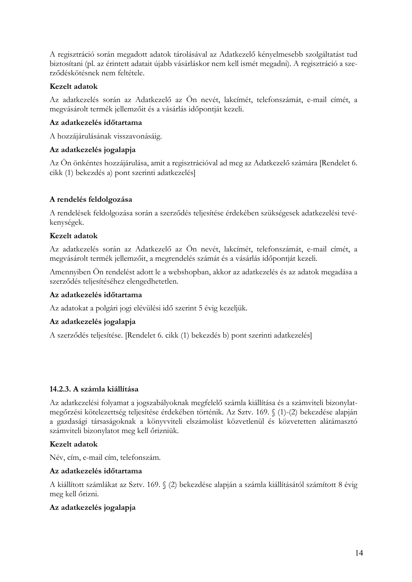A regisztráció során megadott adatok tárolásával az Adatkezelő kényelmesebb szolgáltatást tud biztosítani (pl. az érintett adatait újabb vásárláskor nem kell ismét megadni). A regisztráció a szerződéskötésnek nem feltétele.

# Kezelt adatok

Az adatkezelés során az Adatkezelő az Ön nevét, lakcímét, telefonszámát, e-mail címét, a megvásárolt termék jellemzőit és a vásárlás időpontját kezeli.

# Az adatkezelés időtartama

A hozzájárulásának visszavonásáig.

# Az adatkezelés jogalapja

Az Ön önkéntes hozzájárulása, amit a regisztrációval ad meg az Adatkezelő számára [Rendelet 6. cikk (1) bekezdés a) pont szerinti adatkezelés]

# A rendelés feldolgozása

A rendelések feldolgozása során a szerződés teljesítése érdekében szükségesek adatkezelési tevékenységek.

# Kezelt adatok

Az adatkezelés során az Adatkezelő az Ön nevét, lakcímét, telefonszámát, e-mail címét, a megvásárolt termék jellemzőit, a megrendelés számát és a vásárlás időpontját kezeli.

Amennyiben Ön rendelést adott le a webshopban, akkor az adatkezelés és az adatok megadása a szerződés teljesítéséhez elengedhetetlen.

# Az adatkezelés időtartama

Az adatokat a polgári jogi elévülési idő szerint 5 évig kezeljük.

# Az adatkezelés jogalapja

A szerződés teljesítése. [Rendelet 6. cikk (1) bekezdés b) pont szerinti adatkezelés]

# 14.2.3. A számla kiállítása

Az adatkezelési folyamat a jogszabályoknak megfelelő számla kiállítása és a számviteli bizonylatmegőrzési kötelezettség teljesítése érdekében történik. Az Sztv. 169. § (1)-(2) bekezdése alapján a gazdasági társaságoknak a könyvviteli elszámolást közvetlenül és közvetetten alátámasztó számviteli bizonylatot meg kell őrizniük.

# Kezelt adatok

Név, cím, e-mail cím, telefonszám.

# Az adatkezelés időtartama

A kiállított számlákat az Sztv. 169. § (2) bekezdése alapján a számla kiállításától számított 8 évig meg kell őrizni.

# Az adatkezelés jogalapja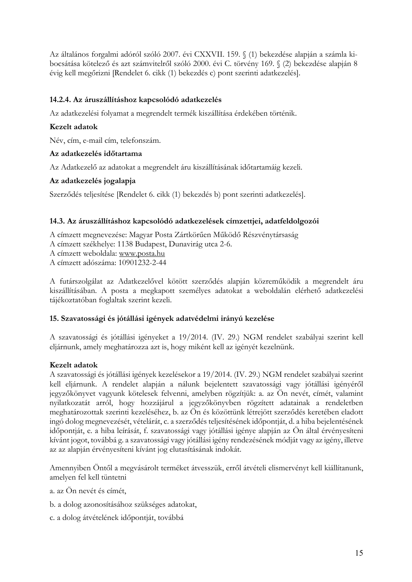Az általános forgalmi adóról szóló 2007. évi CXXVII. 159. § (1) bekezdése alapján a számla kibocsátása kötelező és azt számvitelről szóló 2000. évi C. törvény 169. § (2) bekezdése alapján 8 évig kell megőrizni [Rendelet 6. cikk (1) bekezdés c) pont szerinti adatkezelés].

# 14.2.4. Az áruszállításhoz kapcsolódó adatkezelés

Az adatkezelési folyamat a megrendelt termék kiszállítása érdekében történik.

### Kezelt adatok

Név, cím, e-mail cím, telefonszám.

### Az adatkezelés időtartama

Az Adatkezelő az adatokat a megrendelt áru kiszállításának időtartamáig kezeli.

### Az adatkezelés jogalapja

Szerződés teljesítése [Rendelet 6. cikk (1) bekezdés b) pont szerinti adatkezelés].

### 14.3. Az áruszállításhoz kapcsolódó adatkezelések címzettjei, adatfeldolgozói

A címzett megnevezése: Magyar Posta Zártkörűen Működő Részvénytársaság A címzett székhelye: 1138 Budapest, Dunavirág utca 2-6. A címzett weboldala: www.posta.hu A címzett adószáma: 10901232-2-44

A futárszolgálat az Adatkezelővel kötött szerződés alapján közreműködik a megrendelt áru kiszállításában. A posta a megkapott személyes adatokat a weboldalán elérhető adatkezelési tájékoztatóban foglaltak szerint kezeli.

#### 15. Szavatossági és jótállási igények adatvédelmi irányú kezelése

A szavatossági és jótállási igényeket a 19/2014. (IV. 29.) NGM rendelet szabályai szerint kell eljárnunk, amely meghatározza azt is, hogy miként kell az igényét kezelnünk.

#### Kezelt adatok

A szavatossági és jótállási igények kezelésekor a 19/2014. (IV. 29.) NGM rendelet szabályai szerint kell eljárnunk. A rendelet alapján a nálunk bejelentett szavatossági vagy jótállási igényéről jegyzőkönyvet vagyunk kötelesek felvenni, amelyben rögzítjük: a. az Ön nevét, címét, valamint nyilatkozatát arról, hogy hozzájárul a jegyzőkönyvben rögzített adatainak a rendeletben meghatározottak szerinti kezeléséhez, b. az Ön és közöttünk létrejött szerződés keretében eladott ingó dolog megnevezését, vételárát, c. a szerződés teljesítésének időpontját, d. a hiba bejelentésének időpontját, e. a hiba leírását, f. szavatossági vagy jótállási igénye alapján az Ön által érvényesíteni kívánt jogot, továbbá g. a szavatossági vagy jótállási igény rendezésének módját vagy az igény, illetve az az alapján érvényesíteni kívánt jog elutasításának indokát.

Amennyiben Öntől a megvásárolt terméket átvesszük, erről átvételi elismervényt kell kiállítanunk, amelyen fel kell tüntetni

a. az Ön nevét és címét,

- b. a dolog azonosításához szükséges adatokat,
- c. a dolog átvételének időpontját, továbbá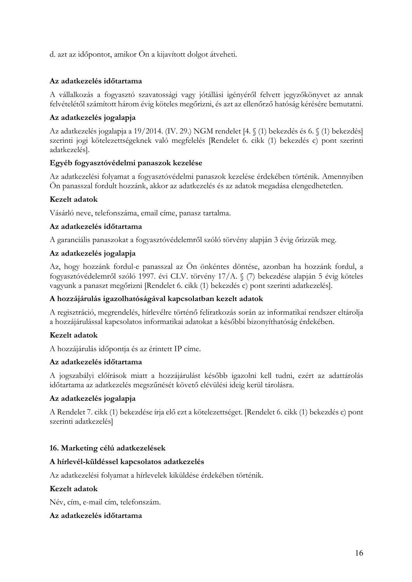d. azt az időpontot, amikor Ön a kijavított dolgot átveheti.

## Az adatkezelés időtartama

A vállalkozás a fogyasztó szavatossági vagy jótállási igényéről felvett jegyzőkönyvet az annak felvételétől számított három évig köteles megőrizni, és azt az ellenőrző hatóság kérésére bemutatni.

### Az adatkezelés jogalapja

Az adatkezelés jogalapja a 19/2014. (IV. 29.) NGM rendelet [4. § (1) bekezdés és 6. § (1) bekezdés] szerinti jogi kötelezettségeknek való megfelelés [Rendelet 6. cikk (1) bekezdés c) pont szerinti adatkezelés].

#### Egyéb fogyasztóvédelmi panaszok kezelése

Az adatkezelési folyamat a fogyasztóvédelmi panaszok kezelése érdekében történik. Amennyiben Ön panasszal fordult hozzánk, akkor az adatkezelés és az adatok megadása elengedhetetlen.

### Kezelt adatok

Vásárló neve, telefonszáma, email címe, panasz tartalma.

#### Az adatkezelés időtartama

A garanciális panaszokat a fogyasztóvédelemről szóló törvény alapján 3 évig őrizzük meg.

#### Az adatkezelés jogalapja

Az, hogy hozzánk fordul-e panasszal az Ön önkéntes döntése, azonban ha hozzánk fordul, a fogyasztóvédelemről szóló 1997. évi CLV. törvény 17/A. § (7) bekezdése alapján 5 évig köteles vagyunk a panaszt megőrizni [Rendelet 6. cikk (1) bekezdés c) pont szerinti adatkezelés].

#### A hozzájárulás igazolhatóságával kapcsolatban kezelt adatok

A regisztráció, megrendelés, hírlevélre történő feliratkozás során az informatikai rendszer eltárolja a hozzájárulással kapcsolatos informatikai adatokat a későbbi bizonyíthatóság érdekében.

#### Kezelt adatok

A hozzájárulás időpontja és az érintett IP címe.

#### Az adatkezelés időtartama

A jogszabályi előírások miatt a hozzájárulást később igazolni kell tudni, ezért az adattárolás időtartama az adatkezelés megszűnését követő elévülési ideig kerül tárolásra.

#### Az adatkezelés jogalapja

A Rendelet 7. cikk (1) bekezdése írja elő ezt a kötelezettséget. [Rendelet 6. cikk (1) bekezdés c) pont szerinti adatkezelés]

#### 16. Marketing célú adatkezelések

#### A hírlevél-küldéssel kapcsolatos adatkezelés

Az adatkezelési folyamat a hírlevelek kiküldése érdekében történik.

#### Kezelt adatok

Név, cím, e-mail cím, telefonszám.

#### Az adatkezelés időtartama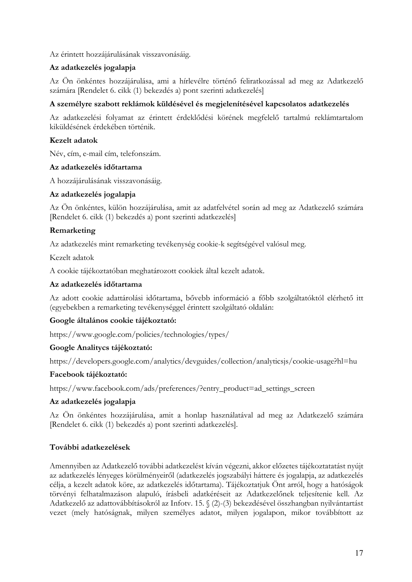Az érintett hozzájárulásának visszavonásáig.

# Az adatkezelés jogalapja

Az Ön önkéntes hozzájárulása, ami a hírlevélre történő feliratkozással ad meg az Adatkezelő számára [Rendelet 6. cikk (1) bekezdés a) pont szerinti adatkezelés]

# A személyre szabott reklámok küldésével és megjelenítésével kapcsolatos adatkezelés

Az adatkezelési folyamat az érintett érdeklődési körének megfelelő tartalmú reklámtartalom kiküldésének érdekében történik.

# Kezelt adatok

Név, cím, e-mail cím, telefonszám.

### Az adatkezelés időtartama

A hozzájárulásának visszavonásája.

# Az adatkezelés jogalapja

Az Ön önkéntes, külön hozzájárulása, amit az adatfelvétel során ad meg az Adatkezelő számára [Rendelet 6. cikk (1) bekezdés a) pont szerinti adatkezelés]

# Remarketing

Az adatkezelés mint remarketing tevékenység cookie-k segítségével valósul meg.

Kezelt adatok

A cookie tájékoztatóban meghatározott cookiek által kezelt adatok.

### Az adatkezelés időtartama

Az adott cookie adattárolási időtartama, bővebb információ a főbb szolgáltatóktól elérhető itt (egyebekben a remarketing tevékenységgel érintett szolgáltató oldalán:

# Google általános cookie tájékoztató:

https://www.google.com/policies/technologies/types/

#### Google Analitycs tájékoztató:

https://developers.google.com/analytics/devguides/collection/analyticsjs/cookie-usage?hl=hu

#### Facebook tájékoztató:

https://www.facebook.com/ads/preferences/?entry\_product=ad\_settings\_screen

# Az adatkezelés jogalapja

Az Ön önkéntes hozzájárulása, amit a honlap használatával ad meg az Adatkezelő számára [Rendelet 6. cikk (1) bekezdés a) pont szerinti adatkezelés].

# További adatkezelések

Amennyiben az Adatkezelő további adatkezelést kíván végezni, akkor előzetes tájékoztatatást nyújt az adatkezelés lényeges körülményeiről (adatkezelés jogszabályi háttere és jogalapja, az adatkezelés célja, a kezelt adatok köre, az adatkezelés időtartama). Tájékoztatjuk Önt arról, hogy a hatóságok törvényi felhatalmazáson alapuló, írásbeli adatkéréseit az Adatkezelőnek teljesítenie kell. Az Adatkezelő az adattovábbításokról az Infotv. 15. § (2)-(3) bekezdésével összhangban nyilvántartást vezet (mely hatóságnak, milyen személyes adatot, milyen jogalapon, mikor továbbított az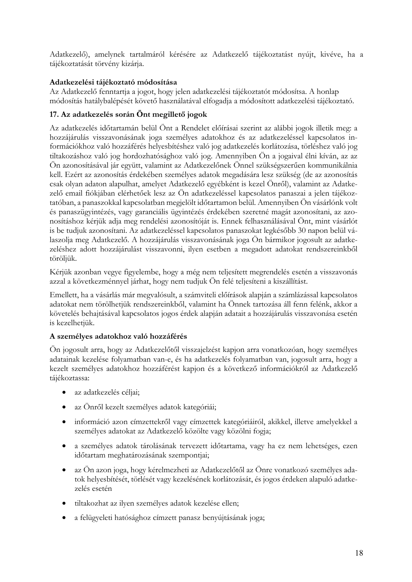Adatkezelő), amelynek tartalmáról kérésére az Adatkezelő tájékoztatást nyújt, kivéve, ha a tájékoztatását törvény kizárja.

# Adatkezelési tájékoztató módosítása

Az Adatkezelő fenntartja a jogot, hogy jelen adatkezelési tájékoztatót módosítsa. A honlap módosítás hatálybalépését követő használatával elfogadja a módosított adatkezelési tájékoztató.

# 17. Az adatkezelés során Önt megillető jogok

Az adatkezelés időtartamán belül Önt a Rendelet előírásai szerint az alábbi jogok illetik meg: a hozzájárulás visszavonásának joga személyes adatokhoz és az adatkezeléssel kapcsolatos információkhoz való hozzáférés helyesbítéshez való jog adatkezelés korlátozása, törléshez való jog tiltakozáshoz való jog hordozhatósághoz való jog. Amennyiben Ön a jogaival élni kíván, az az Ön azonosításával jár együtt, valamint az Adatkezelőnek Önnel szükségszerűen kommunikálnia kell. Ezért az azonosítás érdekében személyes adatok megadására lesz szükség (de az azonosítás csak olyan adaton alapulhat, amelyet Adatkezelő egyébként is kezel Önről), valamint az Adatkezelő email fiókjában elérhetőek lesz az Ön adatkezeléssel kapcsolatos panaszai a jelen tájékoztatóban, a panaszokkal kapcsolatban megjelölt időtartamon belül. Amennyiben Ön vásárlónk volt és panaszügyintézés, vagy garanciális ügyintézés érdekében szeretné magát azonosítani, az azonosításhoz kérjük adja meg rendelési azonosítóját is. Ennek felhasználásával Önt, mint vásárlót is be tudjuk azonosítani. Az adatkezeléssel kapcsolatos panaszokat legkésőbb 30 napon belül válaszolja meg Adatkezelő. A hozzájárulás visszavonásának joga Ön bármikor jogosult az adatkezeléshez adott hozzájárulást visszavonni, ilyen esetben a megadott adatokat rendszereinkből töröljük.

Kérjük azonban vegye figyelembe, hogy a még nem teljesített megrendelés esetén a visszavonás azzal a következménnyel járhat, hogy nem tudjuk Ön felé teljesíteni a kiszállítást.

Emellett, ha a vásárlás már megvalósult, a számviteli előírások alapján a számlázással kapcsolatos adatokat nem törölhetjük rendszereinkből, valamint ha Önnek tartozása áll fenn felénk, akkor a követelés behajtásával kapcsolatos jogos érdek alapján adatait a hozzájárulás visszavonása esetén is kezelhetjük.

# A személyes adatokhoz való hozzáférés

On jogosult arra, hogy az Adatkezelőtől visszajelzést kapjon arra vonatkozóan, hogy személyes adatainak kezelése folyamatban van-e, és ha adatkezelés folyamatban van, jogosult arra, hogy a kezelt személyes adatokhoz hozzáférést kapjon és a következő információkról az Adatkezelő tájékoztassa:

- · az adatkezelés céljai;
- az Önről kezelt személyes adatok kategóriái;  $\bullet$
- információ azon címzettekről vagy címzettek kategóriáiról, akikkel, illetve amelyekkel a  $\bullet$ személyes adatokat az Adatkezelő közölte vagy közölni fogja;
- · a személyes adatok tárolásának tervezett időtartama, vagy ha ez nem lehetséges, ezen időtartam meghatározásának szempontjai;
- az Ön azon joga, hogy kérelmezheti az Adatkezelőtől az Önre vonatkozó személyes ada- $\bullet$ tok helyesbítését, törlését vagy kezelésének korlátozását, és jogos érdeken alapuló adatkezelés esetén
- tiltakozhat az ilyen személyes adatok kezelése ellen;
- a felügyeleti hatósághoz címzett panasz benyújtásának joga;  $\bullet$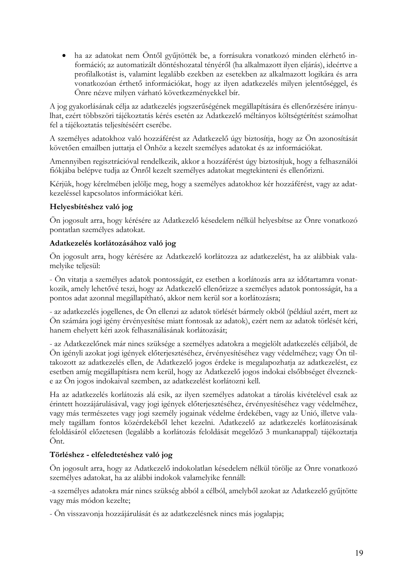• ha az adatokat nem Öntől gyűjtötték be, a forrásukra vonatkozó minden elérhető információ; az automatizált döntéshozatal tényéről (ha alkalmazott ilyen eljárás), ideértve a profilalkotást is, valamint legalább ezekben az esetekben az alkalmazott logikára és arra vonatkozóan érthető információkat, hogy az ilyen adatkezelés milyen jelentőséggel, és Önre nézve milyen várható következményekkel bír.

A jog gyakorlásának célja az adatkezelés jogszerűségének megállapítására és ellenőrzésére irányulhat, ezért többszöri tájékoztatás kérés esetén az Adatkezelő méltányos költségtérítést számolhat fel a tájékoztatás teljesítéséért cserébe.

A személyes adatokhoz való hozzáférést az Adatkezelő úgy biztosítja, hogy az Ön azonosítását követően emailben juttatja el Önhöz a kezelt személyes adatokat és az információkat.

Amennyiben regisztrációval rendelkezik, akkor a hozzáférést úgy biztosítjuk, hogy a felhasználói fiókjába belépve tudja az Önről kezelt személyes adatokat megtekinteni és ellenőrizni.

Kérjük, hogy kérelmében jelölje meg, hogy a személyes adatokhoz kér hozzáférést, vagy az adatkezeléssel kapcsolatos információkat kéri.

# Helyesbítéshez való jog

Ön jogosult arra, hogy kérésére az Adatkezelő késedelem nélkül helyesbítse az Önre vonatkozó pontatlan személyes adatokat.

# Adatkezelés korlátozásához való jog

Ön jogosult arra, hogy kérésére az Adatkezelő korlátozza az adatkezelést, ha az alábbiak valamelyike teljesül:

- Ön vitatja a személyes adatok pontosságát, ez esetben a korlátozás arra az időtartamra vonatkozik, amely lehetővé teszi, hogy az Adatkezelő ellenőrizze a személyes adatok pontosságát, ha a pontos adat azonnal megállapítható, akkor nem kerül sor a korlátozásra;

- az adatkezelés jogellenes, de Ön ellenzi az adatok törlését bármely okból (például azért, mert az Ön számára jogi igény érvényesítése miatt fontosak az adatok), ezért nem az adatok törlését kéri, hanem ehelyett kéri azok felhasználásának korlátozását;

- az Adatkezelőnek már nincs szüksége a személyes adatokra a megjelölt adatkezelés céljából, de Ön igényli azokat jogi igények előterjesztéséhez, érvényesítéséhez vagy védelméhez; vagy Ön tiltakozott az adatkezelés ellen, de Adatkezelő jogos érdeke is megalapozhatja az adatkezelést, ez esetben amíg megállapításra nem kerül, hogy az Adatkezelő jogos indokai elsőbbséget élvezneke az Ön jogos indokaival szemben, az adatkezelést korlátozni kell.

Ha az adatkezelés korlátozás alá esik, az ilyen személyes adatokat a tárolás kivételével csak az érintett hozzájárulásával, vagy jogi igények előterjesztéséhez, érvényesítéséhez vagy védelméhez, vagy más természetes vagy jogi személy jogainak védelme érdekében, vagy az Unió, illetve valamely tagállam fontos közérdekéből lehet kezelni. Adatkezelő az adatkezelés korlátozásának feloldásáról előzetesen (legalább a korlátozás feloldását megelőző 3 munkanappal) tájékoztatja Önt.

# Törléshez - elfeledtetéshez való jog

Ön jogosult arra, hogy az Adatkezelő indokolatlan késedelem nélkül törölje az Önre vonatkozó személyes adatokat, ha az alábbi indokok valamelyike fennáll:

-a személyes adatokra már nincs szükség abból a célból, amelyből azokat az Adatkezelő gyűjtötte vagy más módon kezelte;

- Ön visszavonja hozzájárulását és az adatkezelésnek nincs más jogalapja;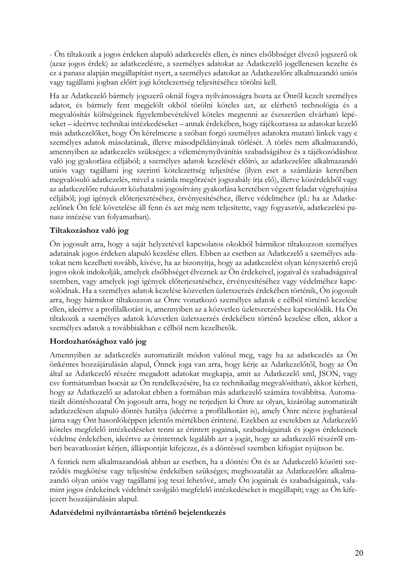- Ön tiltakozik a jogos érdeken alapuló adatkezelés ellen, és nincs elsőbbséget élvező jogszerű ok (azaz jogos érdek) az adatkezelésre, a személyes adatokat az Adatkezelő jogellenesen kezelte és ez a panasz alapján megállapítást nyert, a személyes adatokat az Adatkezelőre alkalmazandó uniós vagy tagállami jogban előírt jogi kötelezettség teljesítéséhez törölni kell.

Ha az Adatkezelő bármely jogszerű oknál fogya nyilvánosságra hozta az Önről kezelt személyes adatot, és bármely fent megjelölt okból törölni köteles azt, az elérhető technológia és a megvalósítás költségeinek figyelembevételével köteles megtenni az észszerűen elvárható lépéseket – ideértve technikai intézkedéseket – annak érdekében, hogy tájékoztassa az adatokat kezelő más adatkezelőket, hogy Ön kérelmezte a szóban forgó személyes adatokra mutató linkek vagy e személyes adatok másolatának, illetve másodpéldányának törlését. A törlés nem alkalmazandó, amennyiben az adatkezelés szükséges: a véleménynyilvánítás szabadságához és a tájékozódáshoz való jog gyakorlása céljából; a személyes adatok kezelését előíró, az adatkezelőre alkalmazandó uniós vagy tagállami jog szerinti kötelezettség teljesítése (ilyen eset a számlázás keretében megvalósuló adatkezelés, mivel a számla megőrzését jogszabály írja elő), illetve közérdekből vagy az adatkezelőre ruházott közhatalmi jogosítvány gyakorlása keretében végzett feladat végrehajtása céljából; jogi igények előterjesztéséhez, érvényesítéséhez, illetve védelméhez (pl.: ha az Adatkezelőnek Ön felé követelése áll fenn és azt még nem teljesítette, vagy fogyasztói, adatkezelési panasz intézése van folyamatban).

### Tiltakozáshoz való jog

Ön jogosult arra, hogy a saját helyzetével kapcsolatos okokból bármikor tiltakozzon személyes adatainak jogos érdeken alapuló kezelése ellen. Ebben az esetben az Adatkezelő a személyes adatokat nem kezelheti tovább, kivéve, ha az bizonyítja, hogy az adatkezelést olyan kényszerítő erejű jogos okok indokolják, amelyek elsőbbséget élveznek az Ön érdekeivel, jogaival és szabadságaival szemben, vagy amelyek jogi igények előterjesztéséhez, érvényesítéséhez vagy védelméhez kapcsolódnak. Ha a személyes adatok kezelése közvetlen üzletszerzés érdekében történik, Ön jogosult arra, hogy bármikor tiltakozzon az Önre vonatkozó személyes adatok e célból történő kezelése ellen, ideértve a profilalkotást is, amennyiben az a közvetlen üzletszerzéshez kapcsolódik. Ha Ön tiltakozik a személyes adatok közvetlen üzletszerzés érdekében történő kezelése ellen, akkor a személyes adatok a továbbiakban e célból nem kezelhetők.

# Hordozhatósághoz való jog

Amennyiben az adatkezelés automatizált módon valósul meg, vagy ha az adatkezelés az Ön önkéntes hozzájárulásán alapul, Önnek joga van arra, hogy kérje az Adatkezelőtől, hogy az Ön által az Adatkezelő részére megadott adatokat megkapja, amit az Adatkezelő xml, JSON, vagy csy formátumban bocsát az Ön rendelkezésére, ha ez technikailag megyalósítható, akkor kérheti, hogy az Adatkezelő az adatokat ebben a formában más adatkezelő számára továbbítsa. Automatizált döntéshozatal Ön jogosult arra, hogy ne terjedjen ki Önre az olyan, kizárólag automatizált adatkezelésen alapuló döntés hatálya (ideértve a profilalkotást is), amely Önre nézve joghatással járna vagy Önt hasonlóképpen jelentős mértékben érintené. Ezekben az esetekben az Adatkezelő köteles megfelelő intézkedéseket tenni az érintett jogainak, szabadságainak és jogos érdekeinek védelme érdekében, ideértve az érintettnek legalább azt a jogát, hogy az adatkezelő részéről emberi beavatkozást kérjen, álláspontját kifejezze, és a döntéssel szemben kifogást nyújtson be.

A fentiek nem alkalmazandóak abban az esetben, ha a döntés: Ön és az Adatkezelő közötti szerződés megkötése vagy teljesítése érdekében szükséges; meghozatalát az Adatkezelőre alkalmazandó olyan uniós vagy tagállami jog teszi lehetővé, amely Ön jogainak és szabadságainak, valamint jogos érdekeinek védelmét szolgáló megfelelő intézkedéseket is megállapít; vagy az Ön kifejezett hozzájárulásán alapul.

#### Adatvédelmi nyilvántartásba történő bejelentkezés